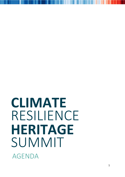## **CLIMATE** RESILIENCE SUMMIT AGENDA WHAT SOFT OF FACTORS ASSETS **HERITAGE**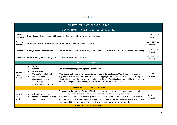## AGENDA

| <b>CLIMATE RESILIENCE HERITAGE SUMMIT</b>        |                                                                                                                                                                                                                        |                                                                                                                                                                                                                                                                                                                                                                                                                                                                                                          |                                       |  |  |
|--------------------------------------------------|------------------------------------------------------------------------------------------------------------------------------------------------------------------------------------------------------------------------|----------------------------------------------------------------------------------------------------------------------------------------------------------------------------------------------------------------------------------------------------------------------------------------------------------------------------------------------------------------------------------------------------------------------------------------------------------------------------------------------------------|---------------------------------------|--|--|
|                                                  |                                                                                                                                                                                                                        | OPENING REMARKS (30 mins) Chaired by Dr Ewan Hyslop (HES)                                                                                                                                                                                                                                                                                                                                                                                                                                                |                                       |  |  |
| <b>Summit</b><br><b>Overview</b>                 | Ewan Hyslop (Head of Technical Research and Science, Historic Environment Scotland)                                                                                                                                    |                                                                                                                                                                                                                                                                                                                                                                                                                                                                                                          |                                       |  |  |
| Welcome<br><b>Address</b>                        | Jenny Gilruth MSP (Minister for Culture, Europe and International Development)                                                                                                                                         |                                                                                                                                                                                                                                                                                                                                                                                                                                                                                                          |                                       |  |  |
| <b>Keynote</b>                                   | Kathryn Brown (Interim Director for Climate Action at the Wildlife Trusts, and Head of Adaptation at the UK Climate Change Committee)                                                                                  |                                                                                                                                                                                                                                                                                                                                                                                                                                                                                                          |                                       |  |  |
| Slido Intro                                      | David Harkin (Climate Change Scientist, Historic Environment Scotland)                                                                                                                                                 |                                                                                                                                                                                                                                                                                                                                                                                                                                                                                                          |                                       |  |  |
| HAZARD SESSION (95 mins)                         |                                                                                                                                                                                                                        |                                                                                                                                                                                                                                                                                                                                                                                                                                                                                                          |                                       |  |  |
| <b>Interactive</b><br>Panel<br><b>Discussion</b> | <b>Fai Fung</b><br>$\bullet$<br>(Met Office)<br><b>Kate Crowley</b><br>(University of Edinburgh)<br><b>Neil Macdonald</b><br>(University of Liverpool)<br><b>Sarah Davies</b><br>$\bullet$<br>(Aberystwyth University) | Chair: Will Megarry (ICOMOS) feat. David Harkin<br>What data is out there to help our sector understand climate hazards? We'll hear about cutting<br>edge climate projections and their possible uses, digging into the ground and archives to track past<br>climate change and what it might tell us about the future. We'll also hear about linking these data to<br>disaster management and thinking about the implications for cultural heritage.                                                    | 10:35 to 11:25<br>$(50 \text{ mins})$ |  |  |
| Comfort Break (11:25 to 11:30) 5 mins            |                                                                                                                                                                                                                        |                                                                                                                                                                                                                                                                                                                                                                                                                                                                                                          |                                       |  |  |
| <b>Hazard</b><br>Map<br><b>Session</b>           | Joshua Deru (3keel)<br>$\bullet$<br>Imogen Sambrook & Matt<br><b>Heard (National Trust)</b>                                                                                                                            | Co-hosted by the National Trust and 3keel, this session will introduce the 'Hazard Map' - a tool<br>pioneered by National Trust and now under further development with partners across the UK. The<br>Hazard Map is a tool that can help organisations begin to understand their climate hazard exposure<br>and how rapid change might be across the country; through understanding exposure, we can assess<br>risk, vulnerability, impact and the need to develop adaptation strategies for our places. | 11:30 to 12:10<br>$(40 \text{ mins})$ |  |  |
| Lunch Break (12:10 to 13:00) 50 mins             |                                                                                                                                                                                                                        |                                                                                                                                                                                                                                                                                                                                                                                                                                                                                                          |                                       |  |  |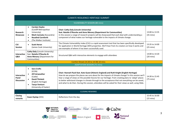| <b>CLIMATE RESILIENCE HERITAGE SUMMIT</b> |                                                                                                                                                                                              |                                                                                                                                                                                                                                                                                                                                                                                                                                                                                                                             |                                       |  |
|-------------------------------------------|----------------------------------------------------------------------------------------------------------------------------------------------------------------------------------------------|-----------------------------------------------------------------------------------------------------------------------------------------------------------------------------------------------------------------------------------------------------------------------------------------------------------------------------------------------------------------------------------------------------------------------------------------------------------------------------------------------------------------------------|---------------------------------------|--|
|                                           |                                                                                                                                                                                              | <b>VULNERABILITY SESSION (80 mins)</b>                                                                                                                                                                                                                                                                                                                                                                                                                                                                                      |                                       |  |
| Research<br>Showcase                      | <b>Carolyn Hayles</b><br>$\bullet$<br>(Cardiff Metropolitan<br>University)<br>Mark Cannata (Kassandra)<br><b>Rosalind Cornforth</b><br>$\bullet$<br>(The Walker Institute)<br>$\bullet$      | <b>Chair: Cathy Daly (Lincoln University)</b><br>feat. Natalie O'Rourke and Anne Menary (Department for Communities)<br>In this session a range of research projects will be showcased that each deal with understanding a<br>component of what makes our heritage vulnerable to the impacts of climate change.                                                                                                                                                                                                             | 13:00 to 13:35<br>$(35 \text{ mins})$ |  |
| <b>CVI</b><br><b>Session</b>              | <b>Scott Heron</b><br>$\bullet$<br>(James Cook University)                                                                                                                                   | The Climate Vulnerability Index (CVI) is a rapid assessment tool that has been specifically developed<br>for application in World Heritage (WH) properties. We'll hear from its creators on how it works and<br>see examples of where it has been successfully used.                                                                                                                                                                                                                                                        | 13:35 to 14:00<br>$(25 \text{ mins})$ |  |
| Interactive<br>Q&A                        | Cathy Daly (Lincoln University)<br>feat. Natalie O'Rourke &<br>Anne Menary (Department for<br>Communities)                                                                                   | Structured Q&A with interactive elements to engage with attendees                                                                                                                                                                                                                                                                                                                                                                                                                                                           | 14:00 to 14:20<br>$(20 \text{ mins})$ |  |
| Comfort Break (14:20 to 14:30) 10 mins    |                                                                                                                                                                                              |                                                                                                                                                                                                                                                                                                                                                                                                                                                                                                                             |                                       |  |
| <b>ADAPTATION SESSION (75 mins)</b>       |                                                                                                                                                                                              |                                                                                                                                                                                                                                                                                                                                                                                                                                                                                                                             |                                       |  |
| Interactive<br>Panel<br><b>Discussion</b> | <b>Sara Crofts</b><br>$\bullet$<br>(ICON)<br><b>Jill Fairweather</b><br>(Cadw)<br><b>David Thickett</b><br>(English Heritage)<br><b>Tanya Venture</b><br>$\bullet$<br>(University of Exeter) | Chair: Hannah Fluck feat. Kate Guest (Historic England) and Ruth Knight (English Heritage)<br>How do we prepare the places we care about for the impacts of climate change? In this session we'll<br>hear a range of views on the possible futures for our heritage. From creating plans to 'adapt' places<br>to better withstand changes in climate through to the acceptance that not everything can be saved,<br>and what to do then. During this session, attendees will be asked for their views as well, using Slido. | 14:30 to 15:45<br>$(75 \text{ mins})$ |  |
| <b>CLOSING REMARKS</b>                    |                                                                                                                                                                                              |                                                                                                                                                                                                                                                                                                                                                                                                                                                                                                                             |                                       |  |
| Closing<br>remarks                        | Ewan Hyslop (HES)                                                                                                                                                                            | Reflections from the day                                                                                                                                                                                                                                                                                                                                                                                                                                                                                                    | 15:45 to 16:00<br>$(15 \text{ mins})$ |  |

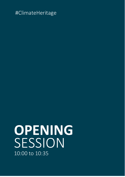## **OPENING** SESSION 10:00 to 10:35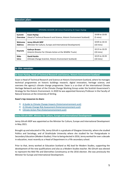## **Session plan:**

| <b>OPENING SESSION (30 mins) Chaired by Dr Ewan Hyslop</b> |                                                                               |                                       |  |
|------------------------------------------------------------|-------------------------------------------------------------------------------|---------------------------------------|--|
| <b>Summit</b>                                              | Ewan Hyslop                                                                   | 10:00 to 10:05                        |  |
| <b>Overview</b>                                            | (Head of Technical Research and Science, Historic Environment Scotland)       | $(5 \text{ mins})$                    |  |
| Welcome                                                    | <b>Jenny Gilruth MSP</b>                                                      | 10:05 to 10:15                        |  |
| <b>Address</b>                                             | (Minister for Culture, Europe and International Development)                  | $(10 \text{ mins})$                   |  |
| Keynote                                                    | Kathryn Brown<br>(Interim Director for Climate Action at the Wildlife Trusts) | 10:15 to 10:25<br>$(10 \text{ mins})$ |  |
| <b>Slido</b>                                               | David Harkin                                                                  | 10:25 to 10:35                        |  |
| Intro                                                      | (Climate Change Scientist, Historic Environment Scotland)                     | (10 mins)                             |  |

## **In this session:**

## **Dr Ewan Hyslop, Head of Technical Research and Science, Historic Environment Scotland**

Ewan is Head of Technical Research and Science at Historic Environment Scotland, where he manages technical programmes on historic buildings research, digital innovation, heritage science, and oversees the agency's climate change programme. Ewan is a co-chair of the international Climate Heritage Network and chair of the Climate Change Working Group under the Scottish Government's Strategy for the Historic Environment. In 2020 he was appointed Honorary Professor in the Faculty of Natural Sciences at the University of Stirling.

## **Ewan's top resources to share:**

- 1) A Guide to [Climate Change Impacts \(historicenvironment.scot\)](https://www.historicenvironment.scot/archives-and-research/publications/publication/?publicationId=843d0c97-d3f4-4510-acd3-aadf0118bf82)
- 2) [A Climate Change Risk Assessment \(historicenvironment.scot\)](https://eur01.safelinks.protection.outlook.com/?url=https%3A%2F%2Fwww.historicenvironment.scot%2Farchives-and-research%2Fpublications%2Fpublication%2F%3FpublicationId%3D55d8dde6-3b68-444e-b6f2-a866011d129a&data=04%7C01%7Cimogen.sambrook%40nationaltrust.org.uk%7Ceb94e05f79114b9c4e3b08d987f23828%7C0fba79b96423460d88eff9c3d4ca2e9f%7C0%7C0%7C637690298316123586%7CUnknown%7CTWFpbGZsb3d8eyJWIjoiMC4wLjAwMDAiLCJQIjoiV2luMzIiLCJBTiI6Ik1haWwiLCJXVCI6Mn0%3D%7C3000&sdata=KlrxplEbR8QegohSBRsYy096SH%2F3pzzxQjYMmq5FX6U%3D&reserved=0)
- 3) [Climate Action Plan \(historicenvironment.scot\)](https://www.historicenvironment.scot/about-us/what-we-do/climate-change/climate-action-plan/)

## **Jenny Gilruth MSP, Minister for Culture, Europe and International Development**

Jenny Gilruth MSP was appointed as the Minister for Culture, Europe and International Development in May 2021.

Brought up and educated in Fife, Jenny Gilruth is a graduate of Glasgow University, where she studied Politics and Sociology, and of Strathclyde University where she studied for her Postgraduate in Secondary Education (Modern Studies). Prior to being elected in 2016, Jenny worked for over a decade in education, most recently as a Head of Department in a Fife secondary school.

Prior to that, Jenny worked at Education Scotland as NQ lead for Modern Studies, supporting the development of the new qualifications and also as a Modern Studies teacher. Ms Gilruth was elected to represent the Mid Fife and Glenrothes Constituency at the 2016 election. She was previously the Minister for Europe and International Development.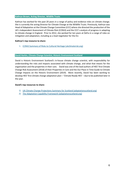## **Kathryn Brown, Acting Director, Wildlife Trusts**

Kathryn has worked for the past 20 years in a range of policy and evidence roles on climate change. She is currently the acting Director for Climate Change at the Wildlife Trusts. Previously, Kathryn was Head of Adaptation at the Climate Change Committee (CCC) where she directed the production of the UK's Independent Assessment of Climate Risk (CCRA3) and the CCC's analysis of progress in adapting to climate change in England. Prior to 2012, she worked for ten years at Defra in a range of roles on mitigation and adaptation, including as a lead negotiator for the EU.

## **Kathryn's top resource to share:**

1) [CCRA3 Summary of Risks to Cultural Heritage \(ukclimaterisk.org\)](https://www.ukclimaterisk.org/wp-content/uploads/2021/06/CCRA3-Briefing-Cultural-Heritage.pdf)

## **David Harkin, Climate Change Scientist, Historic Environment Scotland**

David is Historic Environment Scotland's in-house climate change scientist, with responsibility for understanding the risks and impacts associated with climate change, and what that means for the organisation and the properties in their care. David was one of the lead authors of HES' first Climate Change Risk Assessment (2018) of their Properties in Care and the Our Place in Time Guide to Climate Change Impacts on the Historic Environment (2019). More recently, David has been working to develop HES' first climate change adaptation plan – 'Climate Ready HES' – due to be published later in the year.

## **David's top resources to share:**

- 1) [UK Climate Change Projections Summary for Scotland \(adaptationscotland.org\)](https://www.adaptationscotland.org.uk/why-adapt/climate-trends-and-projections)
- 2) [The Adaptation Capability Framework \(adaptationscotland.org\)](https://www.adaptationscotland.org.uk/how-adapt/your-sector/public-sector/capability-framework-interactive)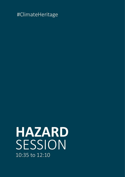## **HAZARD** SESSION 10:35 to 12:10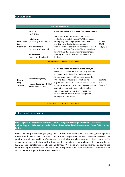## **Session plan:**

| <b>Fai Fung</b><br>Chair: Will Megarry (ICOMOS) feat. David Harkin<br>(Met Office)<br>What data is out there to help our sector<br><b>Kate Crowley</b><br>understand climate hazards? We'll hear about<br>$10:35$ to<br>Interactive<br>(University of Edinburgh)<br>cutting edge climate projections and their<br>Panel<br>11:25<br>possible uses, digging into the ground and<br><b>Neil Macdonald</b><br><b>Discussion</b><br>archives to track past climate change and what it<br>$(50 \text{ mins})$<br>(University of Liverpool)<br>might tell us about future. We'll also hear about<br>linking these data to disaster management and<br><b>Sarah Davies</b><br>thinking about the implications for cultural<br>(Aberystwyth University)<br>heritage.<br>Comfort Break (11:25 to 11:30) 5 mins<br>Co-hosted by the National Trust and 3keel, this<br>session will introduce the 'Hazard Map' - a tool<br>pioneered by National Trust and now under | <b>HAZARD SESSION (95 mins)</b> |  |  |  |  |  |
|----------------------------------------------------------------------------------------------------------------------------------------------------------------------------------------------------------------------------------------------------------------------------------------------------------------------------------------------------------------------------------------------------------------------------------------------------------------------------------------------------------------------------------------------------------------------------------------------------------------------------------------------------------------------------------------------------------------------------------------------------------------------------------------------------------------------------------------------------------------------------------------------------------------------------------------------------------|---------------------------------|--|--|--|--|--|
|                                                                                                                                                                                                                                                                                                                                                                                                                                                                                                                                                                                                                                                                                                                                                                                                                                                                                                                                                          |                                 |  |  |  |  |  |
|                                                                                                                                                                                                                                                                                                                                                                                                                                                                                                                                                                                                                                                                                                                                                                                                                                                                                                                                                          |                                 |  |  |  |  |  |
| further development with partners across the<br>Joshua Deru (3keel)<br>UK. The Hazard Map is a tool that can help<br>$11:30$ to<br><b>Hazard</b><br>organisations begin to understand their climate<br>12:10<br>Map<br>Imogen Sambrook & Matt<br><b>Session</b><br>hazard exposure and how rapid change might be<br>$(40 \text{ mins})$<br><b>Heard (National Trust)</b><br>across the country; through understanding<br>exposure, we can assess risk, vulnerability,<br>impact and the need to develop adaptation<br>strategies for our places.<br>Lunch Break (12:10 to 13:00) 50 mins                                                                                                                                                                                                                                                                                                                                                                 |                                 |  |  |  |  |  |

## **In the panel discussion:**

**Will Megarry, ICOMOS Focal Point for Climate Change and Heritage and Senior Lecturer at Archaeology and Paleoecology in the School of Natural and Built Environment, Queen's University Belfast**

Will is a landscape archaeologist, geographical information systems (GIS) and heritage management specialist with over 10 years commercial and academic experience. He has a particular interest in the application and transferability of geospatial technologies to archaeology and cultural heritage site management and protection, with a focus on the impacts of climate change. He is currently the ICOMOS Focal Point for Climate Change and Heritage. Will is also an active field archaeologist who has been working in Shetland for the last 10 years exploring stone tool production, settlement, and insularity on the edge of the European Neolithic.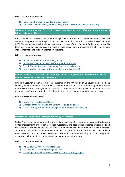## **Will's top resources to share:**

- 1) [Heritage on the Edge \(artsandculture.google.com\)](https://artsandculture.google.com/project/heritage-on-the-edge)
- 2) CVI Africa [Climate Heritage Vulnerability at African Heritage Sites \(cvi-africa.org\)](https://cvi-africa.org/)

**Fai Fung, Science manager for UKCP Science into Services, Met Office and Science Research Fellow, University of Bristol**

Fai has 18 years' experience in climate change adaptation and risk assessment with a focus on hydrological applications at the global and UK scale. He leads a team that provides the Defra-funded UKCP Climate Service which maintains and supports users of the UK Climate Projections. He and his team also carry out applied scientific research that endeavours to maximise the utility of climate model information to support adaptation decisions.

## **Fai's top resources to share:**

- 1) [UK Climate Projections \(metoffice.gov.uk\)](https://ukclimateprojections.metoffice.gov.uk/)
- 2) [UK Climate Projections User Interface \(metoffice.gov.uk\)](https://ukclimateprojections-ui.metoffice.gov.uk/)
- 3) [The UK Climate Resilience Programme \(ukclimateresilience.org\)](https://www.ukclimateresilience.org/)
- 4) [Future weather forecast for the year 2050 \(metoffice.gov.uk\)](https://www.metoffice.gov.uk/services/insights/future-weather-forecast-for-2050)

**Dr Kate Crowley, Co-Director of the Edinburgh Climate Change Institute and Lecturer in Climate Risk and Resilience, University of Edinburgh**

Kate is a Lecturer in Climate Risk and Resilience at the University of Edinburgh and joined the Edinburgh Climate Change Institute (ECCI) team in August 2020. She is Deputy Programme Director for the MSc in Carbon Management. As Co-Director, Kate aims to enable effective collaboration across the science-policy-practitioner interface for effective climate change adaptation and resilience.

## **Kate's top resources to share:**

- 1) [Future of Our Pasts \(ICOMOS.org\)](https://www.icomos.org/en/77-articles-en-francais/59522-icomos-releases-future-of-our-pasts-report-to-increase-engagement-of-cultural-heritage-in-climate-action)
- 2) [Climate Change Adaptation and Cultural Heritage \(ed.ac.uk\)](https://blogs.ed.ac.uk/climate_culture/)
- 3) [Cultural Heritage and Climate Change Adaptation \(pcancities.org.uk\)](https://pcancities.org.uk/cultural-heritage-and-climate-change-adaptation)

## **Professor Neil Macdonald, Professor, University of Liverpool**

Neil is Professor of Geography at the University of Liverpool. His research focuses on developing a better understanding of how climatological, hydrological and geophysical extremes are recorded and have historically impacted societies. It explores how individuals and communities have historically adapted and responded to extreme weather, but also periods of mundane weather. The research spans several centuries using a range of information sources including archives, epigraphic markings, environmental reconstruction, and instrumental information.

## **Neil's top resources to share:**

- 1) [The CLANDAGE Project \(liverpool.ac.uk\)](https://www.liverpool.ac.uk/geography-and-planning/research/clandage/)
- 2) The [TEMPEST Database \(nottingham.ac.uk\)](https://www.nottingham.ac.uk/geography/extreme-weather/search/)
- 3) [Chronology of British Hydrological Events \(cbhe.hydrology.org.uk\)](https://www.cbhe.hydrology.org.uk/)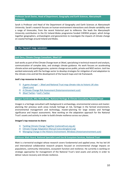## **Professor Sarah Davies, Head of Department, Geography and Earth Sciences, Aberystwyth University**

Sarah is Professor and Head of the Department of Geography and Earth Sciences at Aberystwyth University. Sarah's research focuses on human-environment interactions and climate variability over a range of timescales, from the recent historical past to millennia. She leads the Aberystwyth University contribution to the EU Ireland-Wales programme funded CHERISH project, which brings together geographers, archaeologists and geoscientists to investigate the impacts of climate change on coastal heritage around Ireland and Wales.

## **In the hazard map session:**

## **Josh Deru, Climate Change Consultant, 3Keel LLP**

Josh works as part of the Climate Change team at 3Keel, specialising in technical research and analysis, communication of complex data, and strategic climate guidance. His work focuses on accelerating climate action and sparking genuine, systemic change across public, private and NGO sectors. Josh has worked extensively with the heritage sector to develop strategies for mitigation of and adaptation to the climate crisis and led the development of the hazard maps and risk framework.

## **Josh's top resources to share:**

- 1) A game changer' [3Keel and National Trust map climate risks to](https://eur01.safelinks.protection.outlook.com/?url=https%3A%2F%2Fwww.3keel.com%2Fclimate-risk-mapping%2F&data=04%7C01%7Cimogen.sambrook%40nationaltrust.org.uk%7Ceb94e05f79114b9c4e3b08d987f23828%7C0fba79b96423460d88eff9c3d4ca2e9f%7C0%7C0%7C637690298316113621%7CUnknown%7CTWFpbGZsb3d8eyJWIjoiMC4wLjAwMDAiLCJQIjoiV2luMzIiLCJBTiI6Ik1haWwiLCJXVCI6Mn0%3D%7C3000&sdata=4kioXVPT%2Ftu6tbuUXVadpj3sPNJhzjH2EvXq3OdYHd4%3D&reserved=0) historic UK sites [\(3keel.com\)](https://eur01.safelinks.protection.outlook.com/?url=https%3A%2F%2Fwww.3keel.com%2Fclimate-risk-mapping%2F&data=04%7C01%7Cimogen.sambrook%40nationaltrust.org.uk%7Ceb94e05f79114b9c4e3b08d987f23828%7C0fba79b96423460d88eff9c3d4ca2e9f%7C0%7C0%7C637690298316113621%7CUnknown%7CTWFpbGZsb3d8eyJWIjoiMC4wLjAwMDAiLCJQIjoiV2luMzIiLCJBTiI6Ik1haWwiLCJXVCI6Mn0%3D%7C3000&sdata=4kioXVPT%2Ftu6tbuUXVadpj3sPNJhzjH2EvXq3OdYHd4%3D&reserved=0)
- 2) [A Climate Change Risk Assessment \(historicenvironment.scot\)](https://eur01.safelinks.protection.outlook.com/?url=https%3A%2F%2Fwww.historicenvironment.scot%2Farchives-and-research%2Fpublications%2Fpublication%2F%3FpublicationId%3D55d8dde6-3b68-444e-b6f2-a866011d129a&data=04%7C01%7Cimogen.sambrook%40nationaltrust.org.uk%7Ceb94e05f79114b9c4e3b08d987f23828%7C0fba79b96423460d88eff9c3d4ca2e9f%7C0%7C0%7C637690298316123586%7CUnknown%7CTWFpbGZsb3d8eyJWIjoiMC4wLjAwMDAiLCJQIjoiV2luMzIiLCJBTiI6Ik1haWwiLCJXVCI6Mn0%3D%7C3000&sdata=KlrxplEbR8QegohSBRsYy096SH%2F3pzzxQjYMmq5FX6U%3D&reserved=0)
- 3) [3Keel Twitter](https://twitter.com/3keelllp?lang=en) / [Josh's Twitter](https://twitter.com/hiroshideru)

## **Imogen Sambrook, MSc MCIfA IHBC, National Heritage & Climate Consultant, National Trust**

Imogen is a heritage consultant with background in archaeology, environmental science and masterplanning. Her previous work areas include heritage at risk, heritage in the farmed environment, environmental management and technology, master-planning for large estates and heritage significance and impact assessments. Now working on the adaptation approach for the National Trust's assets and activity in order to build climate resilience across our places.

## **Imogen's top resources to share:**

- 1) [Tackling Climate Change Together \(nationaltrust.org.uk\)](https://www.nationaltrust.org.uk/features/tackling-climate-change-together)
- 2) [Climate Change Adaptation Manual \(naturalengland.org\)](http://publications.naturalengland.org.uk/publication/5679197848862720)
- 3) [Managing Change in the Historic Environment: Windows \(historicenvironment.scot\)](https://www.historicenvironment.scot/archives-and-research/publications/publication/?publicationid=3425bb51-8a55-4f99-b7aa-a60b009fbca2)

## **Professor Matt Heard, National Specialist Land Use & Ecosystem Services, National Trust**

Matt is a terrestrial ecologist whose research covers fundamental and applied areas. He has led UK and international collaborative research projects focused on environmental change impacts on populations, community interactions, ecosystem function and resilience. He currently is working on strategic approaches for management of the National Trust's land assets and activity in order to deliver nature recovery and climate resilience.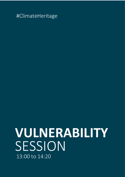**VULNERABILITY** SESSION 13:00 to 14:20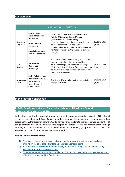## **Session plan:**

| <b>VULNERABILITY SESSION (80 mins)</b> |                                                                                                       |                                                                                                                                                                                                                                                                                                                             |                                       |
|----------------------------------------|-------------------------------------------------------------------------------------------------------|-----------------------------------------------------------------------------------------------------------------------------------------------------------------------------------------------------------------------------------------------------------------------------------------------------------------------------|---------------------------------------|
| Research<br><b>Showcase</b>            | <b>Carolyn Hayles</b><br>(Cardiff Metropolitan<br>University)<br><b>Mark Cannata</b><br>(Kassandra)   | Chair: Cathy Daly (Lincoln University) feat.<br><b>Natalie O'Rourke and Anne Menary</b><br>(Department for Communities)<br>In this session a range of research projects will<br>be showcased that each deal with<br>understanding a component of what makes our<br>heritage vulnerable to the impacts of climate<br>change. | 13:00 to 13:35<br>$(35 \text{ mins})$ |
|                                        | <b>Rosalind Cornforth</b><br>(The Walker Institute)                                                   |                                                                                                                                                                                                                                                                                                                             |                                       |
| <b>CVI</b><br><b>Session</b>           | <b>Scott Heron</b><br>(James Cook<br>University)                                                      | The Climate Vulnerability Index (CVI) is a rapid<br>assessment tool that has been specifically<br>developed for application in World Heritage<br>(WH) properties. We'll hear from its creators on<br>how it works and see examples of where it has<br>been successfully used.                                               | 13:30 to 14:00<br>$(25 \text{ mins})$ |
| Interactive<br>Q&A                     | Cathy Daly feat. feat.<br>Natalie O'Rourke &<br><b>Anne Menary</b><br>(Department for<br>Communities) | Structured Q&A with interactive elements to<br>engage with attendees                                                                                                                                                                                                                                                        | 14:00 to 14:20<br>$(20 \text{ mins})$ |

## **In the research showcase:**

## **Dr Cathy Daly, Senior Lecturer in Conservation, University of Lincoln and Research Consultant, Carrig Conservation Ltd.**

Cathy divides her time between being a senior lecturer in conservation at the University of Lincoln and a research consultant with Carrig Conservation International. Cathy's doctoral research focussed on assessing the vulnerability of Ireland's World Heritage sites to climate change. She was lead author of the government of Ireland's Climate Change Adaptation Strategy for Built and Archaeological Heritage in 2019, is a bureau member of the ICOMOS International working group on CC and co-leads the WG4 HiCLIP project for the Climate Heritage Network.

## **Cathy's top resources to share:**

- 1) [Preliminary results from a legacy indicator tool for measuring climate change related](https://heritagesciencejournal.springeropen.com/articles/10.1186/s40494-019-0274-x)  [impacts on built heritage | Heritage Science \(springeropen.com\)](https://heritagesciencejournal.springeropen.com/articles/10.1186/s40494-019-0274-x)
- 2) [A Framework for Assessing the Vulnerability of Cultural Heritage Sites to Climate Change](https://ipstore.lincoln.ac.uk/product/a-framework-for-assessing-the-vulnerability-of-cultural-heritage-sites-to-climate-change)  [available from IP Store \(lincoln.ac.uk\)](https://ipstore.lincoln.ac.uk/product/a-framework-for-assessing-the-vulnerability-of-cultural-heritage-sites-to-climate-change)
- 3) [Climate Change Adaptation Sectoral Plan for Built and Archaeological Heritage \(Department](https://assets.gov.ie/75639/a0ad0e1d-339c-4e11-bc48-07b4f082b58f.pdf)  [of Culture Heritage and the Gaeltacht\)](https://assets.gov.ie/75639/a0ad0e1d-339c-4e11-bc48-07b4f082b58f.pdf)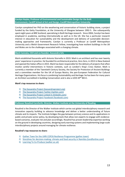**Carolyn Hayles, Professor of Environmental and Sustainable Design for the Built Environment, Cardiff School of Art and Design, Cardiff Metropolitan University**

Carolyn completed her PhD on the weathering and conservation of historic building stone, a project funded by the Getty Foundation, at the University of Glasgow between 1992-5. She subsequently spent eight years at BRE Scotland, specialising in Built Heritage research. Since 2004, Carolyn has been employed in academia, working internationally as well as in the UK. She has a particular research interest in education for sustainability and the development and delivery of sustainable decisionmaking approaches and frameworks. Carolyn is currently a Professor at Cardiff Metropolitan University and a Welsh Government Research Fellow, investigating how resilient buildings in the UK and Wales are to the challenges associated with a changing climate.

**Mark Cannata, CEO and co-founder, Kassandra Srls**

Mark established Kassandra with Antonio Stornello in 2019. Mark is an architect and has over twenty years' experience in practice. He founded his architectural practice, Zero Zero, in 2013 in New Zealand and opened the Italian office in 2015. Mark has been responsible for the delivery of projects that often involve careful interventions in historic contexts, such as London's King's Cross Station. Mark is currently a member of the Twentieth Century Society, the Society for Protection of Ancient Buildings and a committee member for the UK of Europa Nostra, the pan-European Federation for Cultural Heritage Organizations. His focus is combining Sustainability and Heritage: he has been for many years an Architect accredited in building Conservation and is also a LEED AP® BD+C.

## **Mark's top resources to share:**

- 1) [The Kassandra Project \(kassandraproject.org\)](http://www.kassandraproject.org/)
- 2) [The Kassandra Project Twitter \(twitter.com\)](https://twitter.com/kassandra_IDSS)
- 3) [The Kassandra Project Linked In \(linkedin.com\)](https://www.linkedin.com/company/kassandraproject)
- 4) [The Kassandra Project Facebook \(facebook.com\)](https://www.facebook.com/kassandra.IDSS)

**Professor Rosalind Cornforth, Director, Walker Institute at the University of Reading**

Rosalind is the Director of the Walker Institute which carries out global interdisciplinary research and innovative capacity building to advance knowledge and deliver a better understanding of future climate and its impacts. The Institute bridges the gap between primary science and its applications in public and private sector policy, by developing tools that allow non-experts to engage with evidencebased scenarios, evaluate risk and plan accordingly. Rosalind has proven leadership expertise working on the ground in developing countries, designing early warning systems and implementing large-scale interdisciplinary projects around managing for climate resilience.

## **Rosalind's top resources to share:**

- 1) [Gather Town for the UKRI COP26 Resilience Programme \(gather.town\)](https://gather.town/invite?token=uw2sQjxBe_DnWocrEnHihB5HqPhiIao9)
- 2) [Storylines for decision-making: climate and food security in Namibia \(tandfonline.com\)](https://www.tandfonline.com/doi/full/10.1080/17565529.2020.1808438)
- 3) [Learning To Co-Produce \(walker.ac.uk\)](http://www.walker.ac.uk/academy/login/)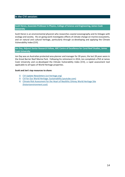## **In the CVI session:**

## **Scott Heron, Associate Professor in Physics, College of Science and Engineering, James Cook University**

Scott Heron is an environmental physicist who researches coastal oceanography and its linkages with ecology and society. His on-going work investigates effects of climate change on marine ecosystems, and on natural and cultural heritage, particularly through co-developing and applying the Climate Vulnerability Index (CVI).

## **Jon Day, Adjunct Senior Research Fellow, ARC Centre of Excellence for Coral Reef Studies, James Cook University**

Jon Day was an Australian protected area planner and manager for 39 years; the last 28 years were in the Great Barrier Reef Marine Park. Following his retirement in 2014, Jon completed a PhD at James Cook University and co-developed the Climate Vulnerability Index (CVI), a rapid assessment tool applicable to all types of World Heritage properties.

## **Scott and Jon's top resources to share:**

- 1) [CVI Update Newsletters \(cvi-heritage.org\)](https://cvi-heritage.org/updates)
- 2) [CVI for Our World Heritage: Sustainability \(youtube.com\)](https://youtu.be/SFQJ9R0Ybc8)
- 3) Climate Risk Assessment for the Heart of Neolithic Orkney World Heritage Site [\(historicenvironment.scot\)](https://www.historicenvironment.scot/hono-cvi)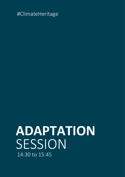## **ADAPTATION** SESSION 14:30 to 15:45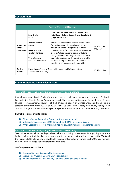## **Session Plan:**

| <b>ADAPTATION SESSION (80 mins)</b> |                                                                                        |                                                                                                                                                                                                  |                             |  |
|-------------------------------------|----------------------------------------------------------------------------------------|--------------------------------------------------------------------------------------------------------------------------------------------------------------------------------------------------|-----------------------------|--|
|                                     | <b>Sara Crofts</b><br>(ICON)                                                           | Chair: Hannah Fluck (Historic England) feat.<br>Kate Guest (Historic England) and Ruth Knight<br>(English Heritage)                                                                              |                             |  |
| Interactive<br>Panel                | <b>Jill Fairweather</b><br>(Cadw)                                                      | How do we prepare the places we care about<br>for the impacts of climate change? In this<br>session we'll hear a range of views on the                                                           | 14:30 to 15:45<br>(70 mins) |  |
| <b>Discussion</b>                   | <b>David Thickett</b><br>(English Heritage)<br><b>Tanya Venture</b>                    | possible futures for our heritage. From creating<br>plans to 'adapt' places to better withstand<br>changes in climate through to the acceptance<br>that not everything can be saved, and what to |                             |  |
|                                     | (University of Exeter)                                                                 | do then. During this session, attendees will be<br>asked for their views as well, using slide.                                                                                                   |                             |  |
| <b>Closing</b><br><b>Remarks</b>    | Ewan Hyslop (Head of Technical Research and Science, Historic<br>Environment Scotland) |                                                                                                                                                                                                  | 15:45 to 16:00              |  |

## **In the Interactive Panel Discussion:**

### **Dr Hannah Fluck, Head of Environmental Strategy, Historic England**

Hannah oversees Historic England's strategic work on cli mate change and is author of Historic England's first Climate Change Adaptation report. She is a contributing author to the third UK Climate Change Risk Assessment, a reviewer of the IPCC special report on Climate Change and Land and is a selected participant of the ICOMOS/IPCC/UNESCO Co-Sponsored Meeting on Culture, Heritage and Climate Change. She is also a founding steering committee member of the Climate Heritage Network.

## **Hannah's top resources to share:**

- 1) [Climate Change Adaptation Report \(historicengland.org.uk\)](https://historicengland.org.uk/research/results/reports/28-2016)
- 2) [Independent Assessment of UK Climate Risk \(CCRA3\) \(ukclimaterisk.org\)](https://www.ukclimaterisk.org/)
- 3) [When Loss is More: From Managed Decline to Adaptive Release \(tandfonline.com\)](https://www.tandfonline.com/doi/full/10.1080/17567505.2021.1957263?src=)

### **Sara Crofts, Chief Executive, Icon (the Institute of Conservation)**

Sara trained as an architect and specialised in historic building conservation. After gaining experience in the repair of historic buildings she moved into the voluntary sector taking on roles at the SPAB and the Heritage Lottery Fund. She is now Chief Executive of Icon, chair of Europa Nostra UK and a member of the Climate Heritage Network Steering Committee.

### **Sara's top resources to share:**

- 1) [Conservation and Sustainability \(icon.org.uk\)](https://www.icon.org.uk/resource/conservation-and-sustainability.html)
- 2) Sustainable Museum [Lighting Q&A \(icon.org.uk\)](https://www.icon.org.uk/resource/sustainable-museum-lighting-q-a.html)
- 3) [Icon Environmental Sustainability Network: Green Solvents Webinar](https://www.icon.org.uk/resource/icon-environmental-sustainability-network-green-solvents-webinar.html)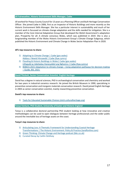## **Jill Fairweather, Historic Environment Skills Manager, Cadw**

Jill worked for Powys County Council for 13 years as a Planning Officer and Built Heritage Conservation Officer. She joined Cadw in 2006, first as an Inspector of Historic Buildings and more recently as the Historic Environment Skills Manager. She has a particular interest in sustainability and much of her current work is focussed on climate change adaptation and the skills needed for mitigation. She is a member of the Core Internal Adaptation Group that developed the Welsh Government's adaptation plan, Prosperity for all: A climate conscious Wales, which was published in 2019. She is also a longstanding member of the Wales Historic Environment Group's Climate Change Subgroup, which published the Historic Environment and Climate Change in Wales Sector Adaptation Plan in 2020.

## **Jill's top resources to share:**

- 1) [Adapting to Climate Change | Cadw \(gov.wales\)](https://cadw.gov.wales/advice-support/climate-change/adapting-to-climate-change)  Addasu I Newid Hinsawdd | Cadw [\(llyw.cymru\)](https://cadw.llyw.cymru/cyngor-a-chymorth/newid-hinsawdd/addasu-i-newid-hinsawdd)
- 2) [Flooding & Historic Buildings in Wales|](https://cadw.gov.wales/advice-support/climate-change/flooding-historic-buildings-wales) Cadw (gov.wales) Llifogydd ac Adeiladau Hanesyddol yng Nghymru | Cadw [\(llyw.cymru\)](https://cadw.llyw.cymru/cyngor-a-chymorth/newid-hinsawdd/llifogydd-ac-adeiladau-hanesyddol-yng-nghymru)
- 3) BS8631:2021 Adaptation to climate change [Using adaptation pathways for decision making](https://www.thenbs.com/PublicationIndex/documents/details?Pub=BSI&DocID=332004)  – [Guide, BSI, 2021](https://www.thenbs.com/PublicationIndex/documents/details?Pub=BSI&DocID=332004)

## **David Thickett, Senior Conservation Scientist, English Heritage**

David has a degree in natural sciences, PhD in archaeological conservation and chemistry and worked for two years in industrial ceramics research. He joined the British Museum in 1990, specialising in preventive conservation and inorganic materials conservation research. David joined English Heritage in 2003 as senior conservation scientist, mainly researching preventive conservation.

## **David's top resources to share:**

1) [Tools for Educated Sustainable Choices \(stich.culturalheritage.org\)](https://stich.culturalheritage.org/)

## **Tanya Venture, PhD Student, University of Exeter and Historic England**

Tanya is a collaborative doctoral partnership PhD student looking at how innovative and creative methodologies can be used to open dialogues between heritage professionals and the wider public around the inevitable loss of heritage assets on the coast.

## **Tanya's top resources to share:**

- 1) [Articulating Loss: A Thematic Framework for Understanding Coastal Heritage](https://www.tandfonline.com/doi/full/10.1080/17567505.2021.1944567)  [Transformations | The Historic Environment: Policy & Practice \(tandfonline.com\)](https://www.tandfonline.com/doi/full/10.1080/17567505.2021.1944567)
- 2) [Green Thinking: Climate Change and Heritage podcast \(bbc.co.uk\)](https://www.bbc.co.uk/programmes/p09lwq74)
- 3) Curated Decay by Caitlin DeSilvey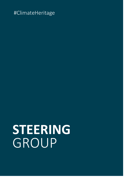# **STEERING** GROUP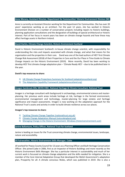## **Anne Menary, Assistant Director, Department for Communities' Historic Environment Division (NI)**

Anne is currently an Assistant Director working for the Department for Communities. She has over 20 years' experience working as an architect. For the past 12 years, she has worked in Historic Environment Division on a number of conservation projects including repairs to historic buildings, planning application consultations and the designation of buildings of special architectural or historic interest. Part of her focus in recent years has been on climate change hazards and how these may affect heritage assets in Northern Ireland.

### **David Harkin, Climate Change Scientist, Historic Environment Scotland**

David is Historic Environment Scotland's in-house climate change scientist, with responsibility for understanding the risks and impacts associated with climate change, and what that means for the organisation and the properties in their care. David was one of the lead authors of HES' first Climate Change Risk Assessment (2018) of their Properties in Care and the Our Place in Time Guide to Climate Change Impacts on the Historic Environment (2019). More recently, David has been working to develop HES' first climate change adaptation plan – 'Climate Ready HES' – due to be published later in the year.

## **David's top resources to share:**

- 1) [UK Climate Change Projections Summary for Scotland \(adaptationscotland.org\)](https://www.adaptationscotland.org.uk/why-adapt/climate-trends-and-projections)
- 2) [The Adaptation Capability Framework \(adaptationscotland.org\)](https://www.adaptationscotland.org.uk/how-adapt/your-sector/public-sector/capability-framework-interactive)

## **Imogen Sambrook MSc MCIfA IHBC, National Heritage & Climate Consultant, National Trust**

Imogen is a heritage consultant with background in archaeology, environmental science and masterplanning. Her previous work areas include heritage at risk, heritage in the farmed environment, environmental management and technology, master-planning for large estates and heritage significance and impact assessments. Imogen is now working on the adaptation approach for the National Trust's assets and activity in order to build climate resilience across our places.

## **Imogen's top resources to share:**

- 1) [Tackling Climate Change Together \(nationaltrust.org.uk\)](https://www.nationaltrust.org.uk/features/tackling-climate-change-together)
- 2) [Climate Change Adaptation Manual \(naturalengland.org\)](http://publications.naturalengland.org.uk/publication/5679197848862720)
- 3) [Managing Change in the Historic Environment: Windows \(historicenvironment.scot\)](https://www.historicenvironment.scot/archives-and-research/publications/publication/?publicationid=3425bb51-8a55-4f99-b7aa-a60b009fbca2)

## **Janine Ballantyne, Policy Officer, National Trust for Scotland**

Janine is leading on issues for the Trust concerning climate change, environmental issues, landscape, nature and accessibility.

## **Jill Fairweather, Historic Environment Skills Manager, Cadw**

Jill worked for Powys County Council for 13 years as a Planning Officer and Built Heritage Conservation Officer. She joined Cadw in 2006, first as an Inspector of Historic Buildings and more recently as the Historic Environment Skills Manager. She has a particular interest in sustainability and much of her current work is focussed on climate change adaptation and the skills needed for mitigation. She is a member of the Core Internal Adaptation Group that developed the Welsh Government's adaptation plan, Prosperity for all: A climate conscious Wales, which was published in 2019. She is also a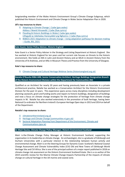longstanding member of the Wales Historic Environment Group's Climate Change Subgroup, which published the Historic Environment and Climate Change in Wales Sector Adaptation Plan in 2020.

## **Jill's top resources to share:**

- 1) [Adapting to Climate Change | Cadw \(gov.wales\)](https://cadw.gov.wales/advice-support/climate-change/adapting-to-climate-change)  Addasu I Newid Hinsawdd | Cadw [\(llyw.cymru\)](https://cadw.llyw.cymru/cyngor-a-chymorth/newid-hinsawdd/addasu-i-newid-hinsawdd)
- 2) [Flooding & Historic Buildings in](https://cadw.gov.wales/advice-support/climate-change/flooding-historic-buildings-wales) Wales | Cadw (gov.wales) Llifogydd ac Adeiladau Hanesyddol yng Nghymru | Cadw [\(llyw.cymru\)](https://cadw.llyw.cymru/cyngor-a-chymorth/newid-hinsawdd/llifogydd-ac-adeiladau-hanesyddol-yng-nghymru)
- 3) BS8631:2021 Adaptation to climate change [Using adaptation pathways for decision making](https://www.thenbs.com/PublicationIndex/documents/details?Pub=BSI&DocID=332004)  – [Guide, BSI, 2021](https://www.thenbs.com/PublicationIndex/documents/details?Pub=BSI&DocID=332004)

## **Kate Guest, Senior Policy Adviser, Historic England**

Kate Guest is a Senior Policy Adviser in the Strategy and Listing Department at Historic England.  She has worked at Historic England for ten years and her current role focuses on threats to the historic environment. She holds an MA in Latin and Ancient History and an MLitt in Ancient History from the University of St Andrews, and an MSc in Museum Theory and Practice from the University of Glasgow.

## **Kate's top resource to share:**

1) [Climate Change and Cultural Heritage Webinar Series \(historicengland.org.uk\)](https://historicengland.org.uk/services-skills/training-skills/online-training/webinars/climate-friday-webinars/)

## **Natalie O'Rourke RIBA ARB, Senior Conservation Architect, Heritage Buildings Designation Branch of the Historic Environment Division within the Department for Communities (NI)**

Qualified as an Architect for nearly 20 years and having previously been an Associate in a private architectural practice, Natalie has worked as a Conservation Architect for the Historic Environment Division for the past 12 years. This experience spans across many disciplines including development planning casework, grant and funding works and repairs to historic buildings, designation of buildings and now a focus on climate change strategies for the protection of heritage from climate change impacts in NI. Natalie has also worked extensively in the promotion of built heritage, having been National Co-ordinator for Northern Ireland's European Heritage Open days in 2013 and 2014 on behalf of the Department.

## **Natalie's top resources to share:**

- 1) [climatenorthernireland.org.uk](https://www.climatenorthernireland.org.uk/)
- 2) [Heritage and Climate Change \(communities-ni.gov.uk\)](https://www.communities-ni.gov.uk/articles/heritage-and-climate-change)
- 3) [Sectoral Adaptation Planning from Department of the Environment, Climate and](https://www.gov.ie/en/collection/51df3-sectoral-adaptation-planning/)  [Communications \(gov.ie\)](https://www.gov.ie/en/collection/51df3-sectoral-adaptation-planning/)

## **Dr Mairi Davies, Climate Change Policy Manager, Historic Environment Scotland**

Mairi is the Climate Change Policy Manager at Historic Environment Scotland, supporting the organisation in its leadership on climate change. An archaeologist, she is a graduate of Edinburgh and Durham Universities with a particular interest in the relationship between human activity and environmental change. Mairi is on the Steering Groups for Dynamic Coast: Scotland's National Coastal Change Assessment and Climate Vulnerability Index (CVI) Old and New Towns of Edinburgh World Heritage Site and CVI Africa. She is one of the principal authors of a major report published in 2018 on climate change risk assessment on the Historic Environment Scotland Estate. She is a co-author of the 2019 scientific review for the Marine Climate Change Impacts Partnership of the impacts of climate change on cultural heritage in the UK marine and coastal zone.